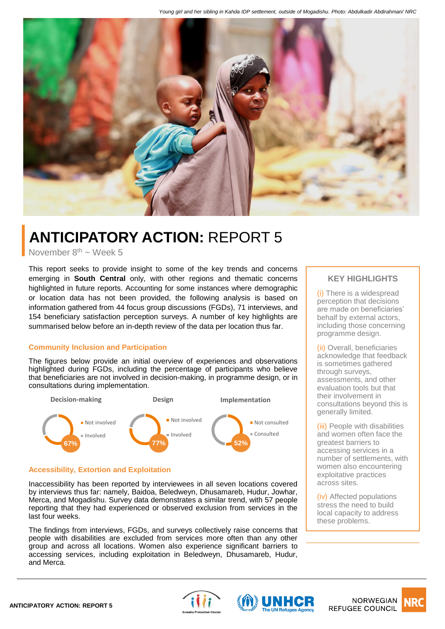

# **ANTICIPATORY ACTION:** REPORT 5

November  $8<sup>th</sup> \sim$  Week 5

This report seeks to provide insight to some of the key trends and concerns emerging in **South Central** only, with other regions and thematic concerns highlighted in future reports. Accounting for some instances where demographic or location data has not been provided, the following analysis is based on information gathered from 44 focus group discussions (FGDs), 71 interviews, and 154 beneficiary satisfaction perception surveys. A number of key highlights are summarised below before an in-depth review of the data per location thus far.

### **Community Inclusion and Participation**

The figures below provide an initial overview of experiences and observations highlighted during FGDs, including the percentage of participants who believe that beneficiaries are not involved in decision-making, in programme design, or in consultations during implementation.



### **Accessibility, Extortion and Exploitation**

Inaccessibility has been reported by interviewees in all seven locations covered by interviews thus far: namely, Baidoa, Beledweyn, Dhusamareb, Hudur, Jowhar, Merca, and Mogadishu. Survey data demonstrates a similar trend, with 57 people reporting that they had experienced or observed exclusion from services in the last four weeks.

The findings from interviews, FGDs, and surveys collectively raise concerns that people with disabilities are excluded from services more often than any other group and across all locations. Women also experience significant barriers to accessing services, including exploitation in Beledweyn, Dhusamareb, Hudur, and Merca.

## **KEY HIGHLIGHTS**

(i) There is a widespread perception that decisions are made on beneficiaries' behalf by external actors, including those concerning programme design.

(ii) Overall, beneficiaries acknowledge that feedback is sometimes gathered through surveys, assessments, and other evaluation tools but that their involvement in consultations beyond this is generally limited.

(iii) People with disabilities and women often face the greatest barriers to accessing services in a number of settlements, with women also encountering exploitative practices across sites.

(iv) Affected populations stress the need to build local capacity to address these problems.